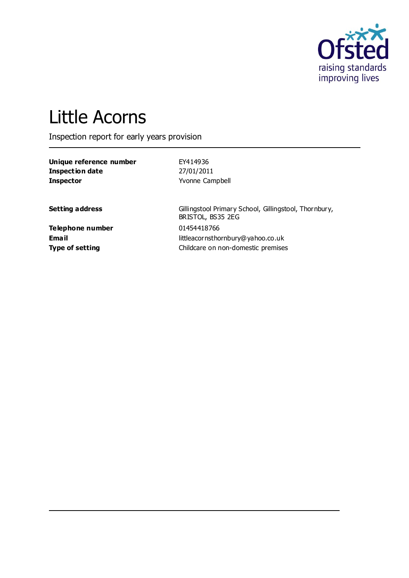

# Little Acorns

Inspection report for early years provision

| Unique reference number | EY414936        |
|-------------------------|-----------------|
| Inspection date         | 27/01/2011      |
| <b>Inspector</b>        | Yvonne Campbell |

**Setting address** Gillingstool Primary School, Gillingstool, Thornbury, BRISTOL, BS35 2EG **Email** littleacornsthornbury@yahoo.co.uk **Type of setting Childcare on non-domestic premises** 

**Telephone number** 01454418766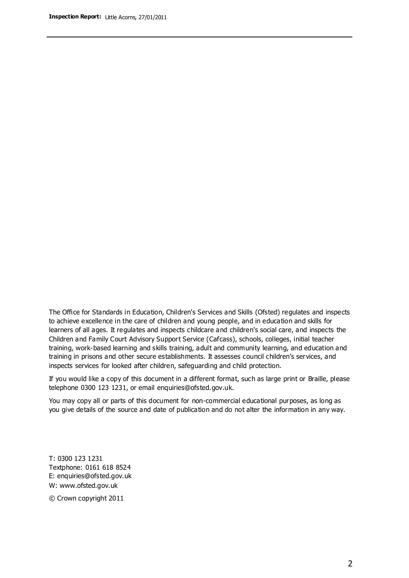The Office for Standards in Education, Children's Services and Skills (Ofsted) regulates and inspects to achieve excellence in the care of children and young people, and in education and skills for learners of all ages. It regulates and inspects childcare and children's social care, and inspects the Children and Family Court Advisory Support Service (Cafcass), schools, colleges, initial teacher training, work-based learning and skills training, adult and community learning, and education and training in prisons and other secure establishments. It assesses council children's services, and inspects services for looked after children, safeguarding and child protection.

If you would like a copy of this document in a different format, such as large print or Braille, please telephone 0300 123 1231, or email enquiries@ofsted.gov.uk.

You may copy all or parts of this document for non-commercial educational purposes, as long as you give details of the source and date of publication and do not alter the information in any way.

T: 0300 123 1231 Textphone: 0161 618 8524 E: enquiries@ofsted.gov.uk W: [www.ofsted.gov.uk](http://www.ofsted.gov.uk/)

© Crown copyright 2011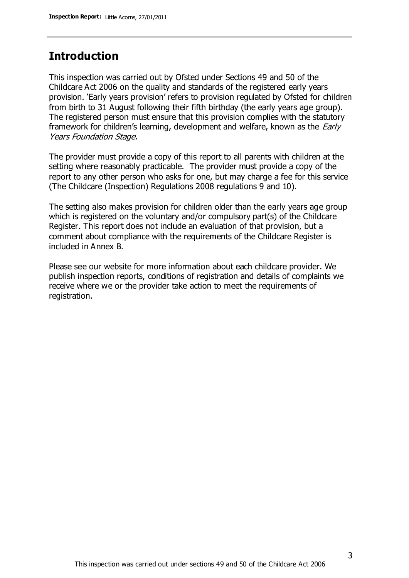## **Introduction**

This inspection was carried out by Ofsted under Sections 49 and 50 of the Childcare Act 2006 on the quality and standards of the registered early years provision. 'Early years provision' refers to provision regulated by Ofsted for children from birth to 31 August following their fifth birthday (the early years age group). The registered person must ensure that this provision complies with the statutory framework for children's learning, development and welfare, known as the *Early* Years Foundation Stage.

The provider must provide a copy of this report to all parents with children at the setting where reasonably practicable. The provider must provide a copy of the report to any other person who asks for one, but may charge a fee for this service (The Childcare (Inspection) Regulations 2008 regulations 9 and 10).

The setting also makes provision for children older than the early years age group which is registered on the voluntary and/or compulsory part(s) of the Childcare Register. This report does not include an evaluation of that provision, but a comment about compliance with the requirements of the Childcare Register is included in Annex B.

Please see our website for more information about each childcare provider. We publish inspection reports, conditions of registration and details of complaints we receive where we or the provider take action to meet the requirements of registration.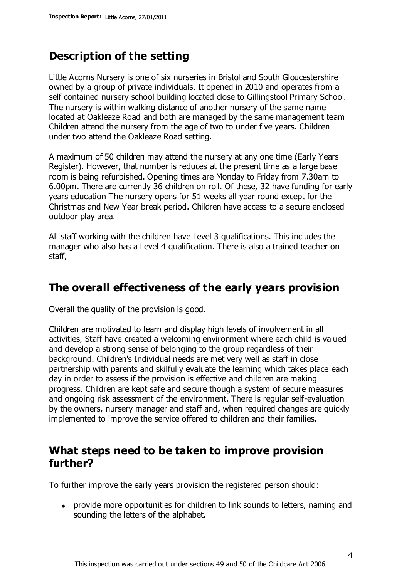## **Description of the setting**

Little Acorns Nursery is one of six nurseries in Bristol and South Gloucestershire owned by a group of private individuals. It opened in 2010 and operates from a self contained nursery school building located close to Gillingstool Primary School. The nursery is within walking distance of another nursery of the same name located at Oakleaze Road and both are managed by the same management team Children attend the nursery from the age of two to under five years. Children under two attend the Oakleaze Road setting.

A maximum of 50 children may attend the nursery at any one time (Early Years Register). However, that number is reduces at the present time as a large base room is being refurbished. Opening times are Monday to Friday from 7.30am to 6.00pm. There are currently 36 children on roll. Of these, 32 have funding for early years education The nursery opens for 51 weeks all year round except for the Christmas and New Year break period. Children have access to a secure enclosed outdoor play area.

All staff working with the children have Level 3 qualifications. This includes the manager who also has a Level 4 qualification. There is also a trained teacher on staff,

## **The overall effectiveness of the early years provision**

Overall the quality of the provision is good.

Children are motivated to learn and display high levels of involvement in all activities, Staff have created a welcoming environment where each child is valued and develop a strong sense of belonging to the group regardless of their background. Children's Individual needs are met very well as staff in close partnership with parents and skilfully evaluate the learning which takes place each day in order to assess if the provision is effective and children are making progress. Children are kept safe and secure though a system of secure measures and ongoing risk assessment of the environment. There is regular self-evaluation by the owners, nursery manager and staff and, when required changes are quickly implemented to improve the service offered to children and their families.

## **What steps need to be taken to improve provision further?**

To further improve the early years provision the registered person should:

provide more opportunities for children to link sounds to letters, naming and sounding the letters of the alphabet.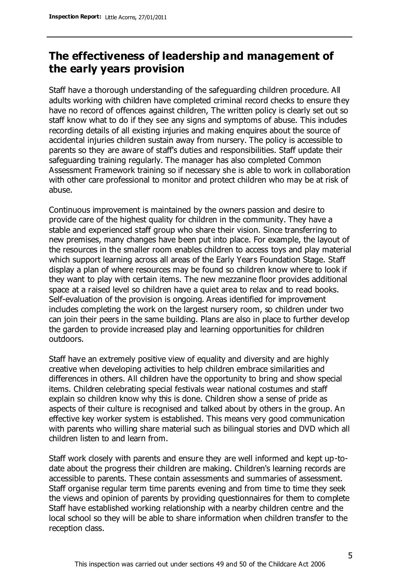## **The effectiveness of leadership and management of the early years provision**

Staff have a thorough understanding of the safeguarding children procedure. All adults working with children have completed criminal record checks to ensure they have no record of offences against children, The written policy is clearly set out so staff know what to do if they see any signs and symptoms of abuse. This includes recording details of all existing injuries and making enquires about the source of accidental injuries children sustain away from nursery. The policy is accessible to parents so they are aware of staff's duties and responsibilities. Staff update their safeguarding training regularly. The manager has also completed Common Assessment Framework training so if necessary she is able to work in collaboration with other care professional to monitor and protect children who may be at risk of abuse.

Continuous improvement is maintained by the owners passion and desire to provide care of the highest quality for children in the community. They have a stable and experienced staff group who share their vision. Since transferring to new premises, many changes have been put into place. For example, the layout of the resources in the smaller room enables children to access toys and play material which support learning across all areas of the Early Years Foundation Stage. Staff display a plan of where resources may be found so children know where to look if they want to play with certain items. The new mezzanine floor provides additional space at a raised level so children have a quiet area to relax and to read books. Self-evaluation of the provision is ongoing. Areas identified for improvement includes completing the work on the largest nursery room, so children under two can join their peers in the same building. Plans are also in place to further develop the garden to provide increased play and learning opportunities for children outdoors.

Staff have an extremely positive view of equality and diversity and are highly creative when developing activities to help children embrace similarities and differences in others. All children have the opportunity to bring and show special items. Children celebrating special festivals wear national costumes and staff explain so children know why this is done. Children show a sense of pride as aspects of their culture is recognised and talked about by others in the group. An effective key worker system is established. This means very good communication with parents who willing share material such as bilingual stories and DVD which all children listen to and learn from.

Staff work closely with parents and ensure they are well informed and kept up-todate about the progress their children are making. Children's learning records are accessible to parents. These contain assessments and summaries of assessment. Staff organise regular term time parents evening and from time to time they seek the views and opinion of parents by providing questionnaires for them to complete Staff have established working relationship with a nearby children centre and the local school so they will be able to share information when children transfer to the reception class.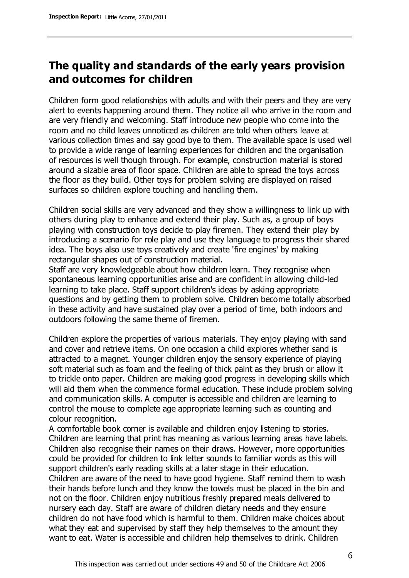## **The quality and standards of the early years provision and outcomes for children**

Children form good relationships with adults and with their peers and they are very alert to events happening around them. They notice all who arrive in the room and are very friendly and welcoming. Staff introduce new people who come into the room and no child leaves unnoticed as children are told when others leave at various collection times and say good bye to them. The available space is used well to provide a wide range of learning experiences for children and the organisation of resources is well though through. For example, construction material is stored around a sizable area of floor space. Children are able to spread the toys across the floor as they build. Other toys for problem solving are displayed on raised surfaces so children explore touching and handling them.

Children social skills are very advanced and they show a willingness to link up with others during play to enhance and extend their play. Such as, a group of boys playing with construction toys decide to play firemen. They extend their play by introducing a scenario for role play and use they language to progress their shared idea. The boys also use toys creatively and create 'fire engines' by making rectangular shapes out of construction material.

Staff are very knowledgeable about how children learn. They recognise when spontaneous learning opportunities arise and are confident in allowing child-led learning to take place. Staff support children's ideas by asking appropriate questions and by getting them to problem solve. Children become totally absorbed in these activity and have sustained play over a period of time, both indoors and outdoors following the same theme of firemen.

Children explore the properties of various materials. They enjoy playing with sand and cover and retrieve items. On one occasion a child explores whether sand is attracted to a magnet. Younger children enjoy the sensory experience of playing soft material such as foam and the feeling of thick paint as they brush or allow it to trickle onto paper. Children are making good progress in developing skills which will aid them when the commence formal education. These include problem solving and communication skills. A computer is accessible and children are learning to control the mouse to complete age appropriate learning such as counting and colour recognition.

A comfortable book corner is available and children enjoy listening to stories. Children are learning that print has meaning as various learning areas have labels. Children also recognise their names on their draws. However, more opportunities could be provided for children to link letter sounds to familiar words as this will support children's early reading skills at a later stage in their education. Children are aware of the need to have good hygiene. Staff remind them to wash their hands before lunch and they know the towels must be placed in the bin and not on the floor. Children enjoy nutritious freshly prepared meals delivered to nursery each day. Staff are aware of children dietary needs and they ensure children do not have food which is harmful to them. Children make choices about what they eat and supervised by staff they help themselves to the amount they want to eat. Water is accessible and children help themselves to drink. Children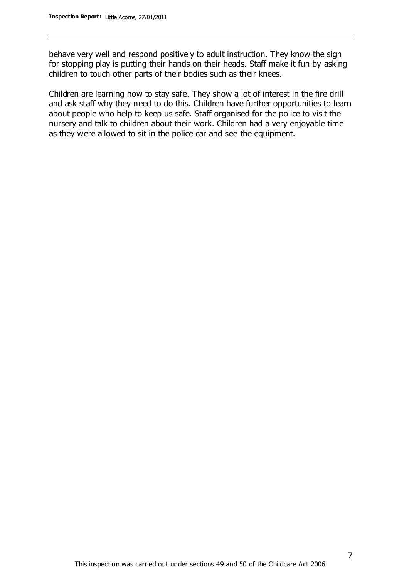behave very well and respond positively to adult instruction. They know the sign for stopping play is putting their hands on their heads. Staff make it fun by asking children to touch other parts of their bodies such as their knees.

Children are learning how to stay safe. They show a lot of interest in the fire drill and ask staff why they need to do this. Children have further opportunities to learn about people who help to keep us safe. Staff organised for the police to visit the nursery and talk to children about their work. Children had a very enjoyable time as they were allowed to sit in the police car and see the equipment.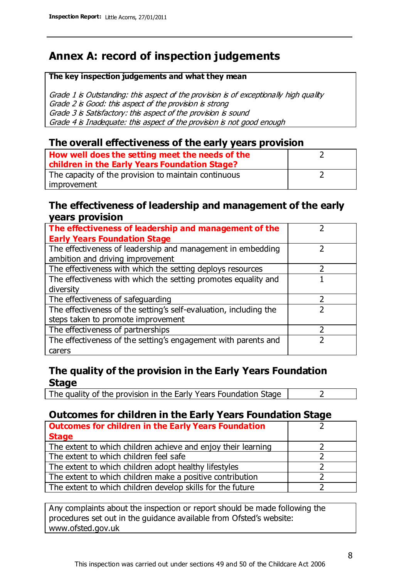## **Annex A: record of inspection judgements**

#### **The key inspection judgements and what they mean**

Grade 1 is Outstanding: this aspect of the provision is of exceptionally high quality Grade 2 is Good: this aspect of the provision is strong Grade 3 is Satisfactory: this aspect of the provision is sound Grade 4 is Inadequate: this aspect of the provision is not good enough

#### **The overall effectiveness of the early years provision**

| How well does the setting meet the needs of the<br>children in the Early Years Foundation Stage? |  |
|--------------------------------------------------------------------------------------------------|--|
| The capacity of the provision to maintain continuous                                             |  |
| improvement                                                                                      |  |

#### **The effectiveness of leadership and management of the early years provision**

| The effectiveness of leadership and management of the             |  |
|-------------------------------------------------------------------|--|
| <b>Early Years Foundation Stage</b>                               |  |
| The effectiveness of leadership and management in embedding       |  |
| ambition and driving improvement                                  |  |
| The effectiveness with which the setting deploys resources        |  |
| The effectiveness with which the setting promotes equality and    |  |
| diversity                                                         |  |
| The effectiveness of safeguarding                                 |  |
| The effectiveness of the setting's self-evaluation, including the |  |
| steps taken to promote improvement                                |  |
| The effectiveness of partnerships                                 |  |
| The effectiveness of the setting's engagement with parents and    |  |
| carers                                                            |  |

#### **The quality of the provision in the Early Years Foundation Stage**

The quality of the provision in the Early Years Foundation Stage  $\vert$  2

## **Outcomes for children in the Early Years Foundation Stage**

| <b>Outcomes for children in the Early Years Foundation</b>    |  |
|---------------------------------------------------------------|--|
| <b>Stage</b>                                                  |  |
| The extent to which children achieve and enjoy their learning |  |
| The extent to which children feel safe                        |  |
| The extent to which children adopt healthy lifestyles         |  |
| The extent to which children make a positive contribution     |  |
| The extent to which children develop skills for the future    |  |

Any complaints about the inspection or report should be made following the procedures set out in the guidance available from Ofsted's website: www.ofsted.gov.uk